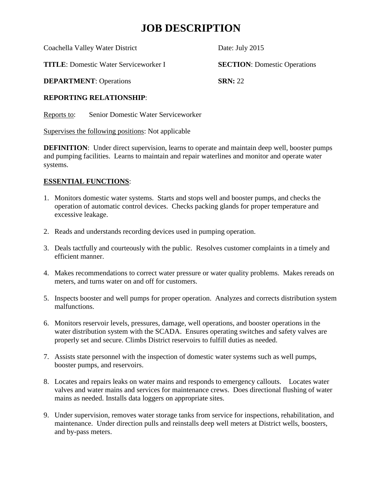## **JOB DESCRIPTION**

Coachella Valley Water District Date: July 2015

**TITLE**: Domestic Water Serviceworker I **SECTION**: Domestic Operations

**DEPARTMENT:** Operations **SRN:** 22

### **REPORTING RELATIONSHIP**:

Reports to: Senior Domestic Water Serviceworker

Supervises the following positions: Not applicable

**DEFINITION:** Under direct supervision, learns to operate and maintain deep well, booster pumps and pumping facilities. Learns to maintain and repair waterlines and monitor and operate water systems.

## **ESSENTIAL FUNCTIONS**:

- 1. Monitors domestic water systems. Starts and stops well and booster pumps, and checks the operation of automatic control devices. Checks packing glands for proper temperature and excessive leakage.
- 2. Reads and understands recording devices used in pumping operation.
- 3. Deals tactfully and courteously with the public. Resolves customer complaints in a timely and efficient manner.
- 4. Makes recommendations to correct water pressure or water quality problems. Makes rereads on meters, and turns water on and off for customers.
- 5. Inspects booster and well pumps for proper operation. Analyzes and corrects distribution system malfunctions.
- 6. Monitors reservoir levels, pressures, damage, well operations, and booster operations in the water distribution system with the SCADA. Ensures operating switches and safety valves are properly set and secure. Climbs District reservoirs to fulfill duties as needed.
- 7. Assists state personnel with the inspection of domestic water systems such as well pumps, booster pumps, and reservoirs.
- 8. Locates and repairs leaks on water mains and responds to emergency callouts. Locates water valves and water mains and services for maintenance crews. Does directional flushing of water mains as needed. Installs data loggers on appropriate sites.
- 9. Under supervision, removes water storage tanks from service for inspections, rehabilitation, and maintenance. Under direction pulls and reinstalls deep well meters at District wells, boosters, and by-pass meters.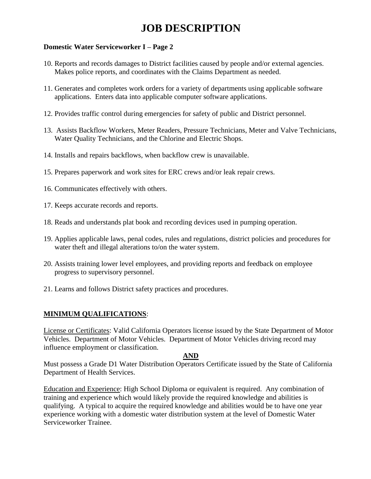## **JOB DESCRIPTION**

#### **Domestic Water Serviceworker I – Page 2**

- 10. Reports and records damages to District facilities caused by people and/or external agencies. Makes police reports, and coordinates with the Claims Department as needed.
- 11. Generates and completes work orders for a variety of departments using applicable software applications. Enters data into applicable computer software applications.
- 12. Provides traffic control during emergencies for safety of public and District personnel.
- 13. Assists Backflow Workers, Meter Readers, Pressure Technicians, Meter and Valve Technicians, Water Quality Technicians, and the Chlorine and Electric Shops.
- 14. Installs and repairs backflows, when backflow crew is unavailable.
- 15. Prepares paperwork and work sites for ERC crews and/or leak repair crews.
- 16. Communicates effectively with others.
- 17. Keeps accurate records and reports.
- 18. Reads and understands plat book and recording devices used in pumping operation.
- 19. Applies applicable laws, penal codes, rules and regulations, district policies and procedures for water theft and illegal alterations to/on the water system.
- 20. Assists training lower level employees, and providing reports and feedback on employee progress to supervisory personnel.
- 21. Learns and follows District safety practices and procedures.

#### **MINIMUM QUALIFICATIONS**:

License or Certificates: Valid California Operators license issued by the State Department of Motor Vehicles. Department of Motor Vehicles. Department of Motor Vehicles driving record may influence employment or classification.

#### **AND**

Must possess a Grade D1 Water Distribution Operators Certificate issued by the State of California Department of Health Services.

Education and Experience: High School Diploma or equivalent is required. Any combination of training and experience which would likely provide the required knowledge and abilities is qualifying. A typical to acquire the required knowledge and abilities would be to have one year experience working with a domestic water distribution system at the level of Domestic Water Serviceworker Trainee.